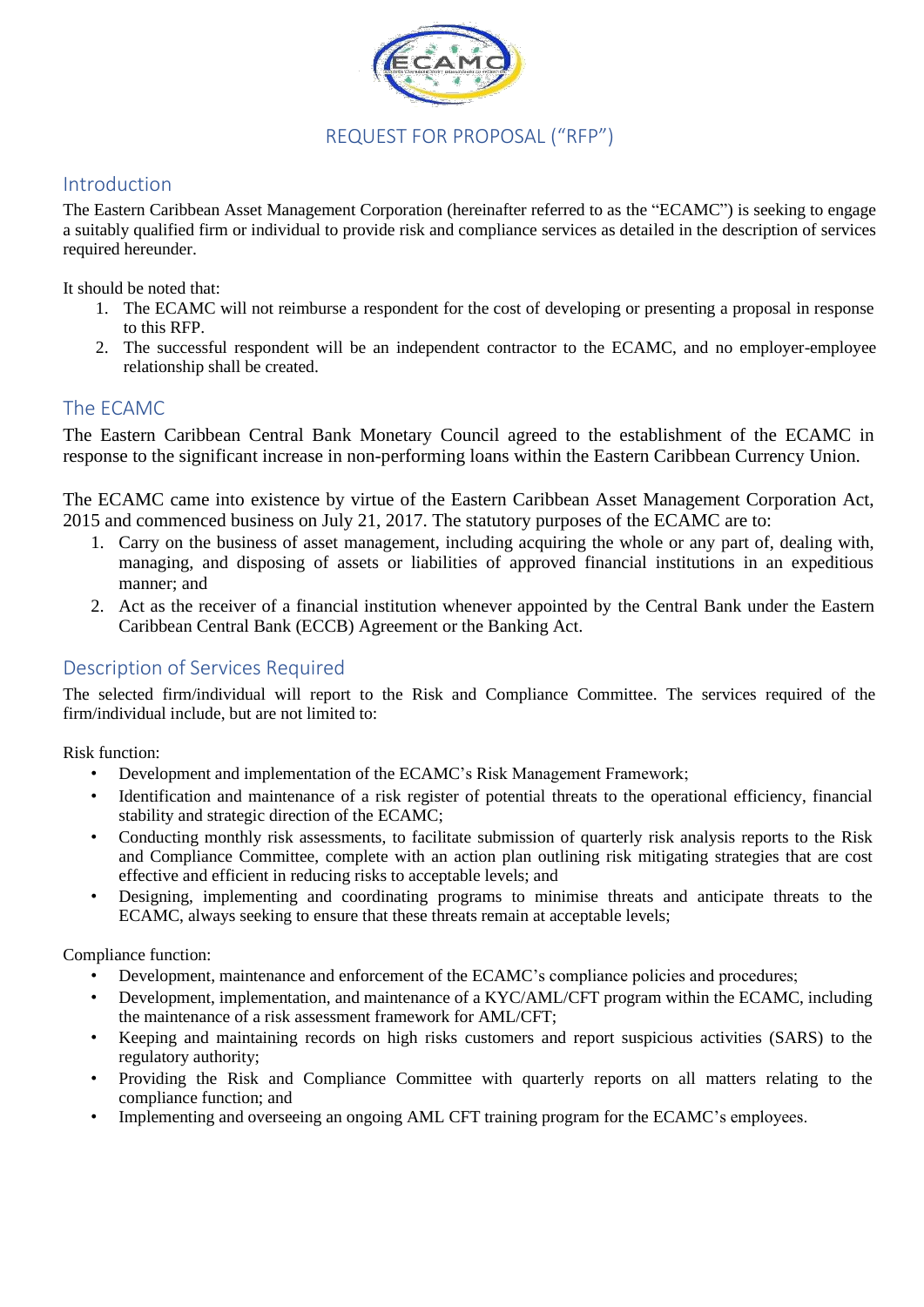

## REQUEST FOR PROPOSAL ("RFP")

### Introduction

The Eastern Caribbean Asset Management Corporation (hereinafter referred to as the "ECAMC") is seeking to engage a suitably qualified firm or individual to provide risk and compliance services as detailed in the description of services required hereunder.

It should be noted that:

- 1. The ECAMC will not reimburse a respondent for the cost of developing or presenting a proposal in response to this RFP.
- 2. The successful respondent will be an independent contractor to the ECAMC, and no employer-employee relationship shall be created.

#### The ECAMC

The Eastern Caribbean Central Bank Monetary Council agreed to the establishment of the ECAMC in response to the significant increase in non-performing loans within the Eastern Caribbean Currency Union.

The ECAMC came into existence by virtue of the Eastern Caribbean Asset Management Corporation Act, 2015 and commenced business on July 21, 2017. The statutory purposes of the ECAMC are to:

- 1. Carry on the business of asset management, including acquiring the whole or any part of, dealing with, managing, and disposing of assets or liabilities of approved financial institutions in an expeditious manner; and
- 2. Act as the receiver of a financial institution whenever appointed by the Central Bank under the Eastern Caribbean Central Bank (ECCB) Agreement or the Banking Act.

### Description of Services Required

The selected firm/individual will report to the Risk and Compliance Committee. The services required of the firm/individual include, but are not limited to:

Risk function:

- Development and implementation of the ECAMC's Risk Management Framework;
- Identification and maintenance of a risk register of potential threats to the operational efficiency, financial stability and strategic direction of the ECAMC;
- Conducting monthly risk assessments, to facilitate submission of quarterly risk analysis reports to the Risk and Compliance Committee, complete with an action plan outlining risk mitigating strategies that are cost effective and efficient in reducing risks to acceptable levels; and
- Designing, implementing and coordinating programs to minimise threats and anticipate threats to the ECAMC, always seeking to ensure that these threats remain at acceptable levels;

Compliance function:

- Development, maintenance and enforcement of the ECAMC's compliance policies and procedures;
- Development, implementation, and maintenance of a KYC/AML/CFT program within the ECAMC, including the maintenance of a risk assessment framework for AML/CFT;
- Keeping and maintaining records on high risks customers and report suspicious activities (SARS) to the regulatory authority;
- Providing the Risk and Compliance Committee with quarterly reports on all matters relating to the compliance function; and
- Implementing and overseeing an ongoing AML CFT training program for the ECAMC's employees.